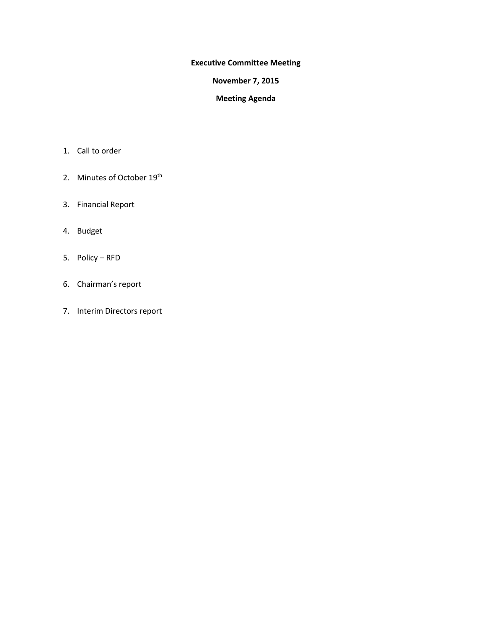### **Executive Committee Meeting**

### **November 7, 2015**

### **Meeting Agenda**

- 1. Call to order
- 2. Minutes of October 19<sup>th</sup>
- 3. Financial Report
- 4. Budget
- 5. Policy RFD
- 6. Chairman's report
- 7. Interim Directors report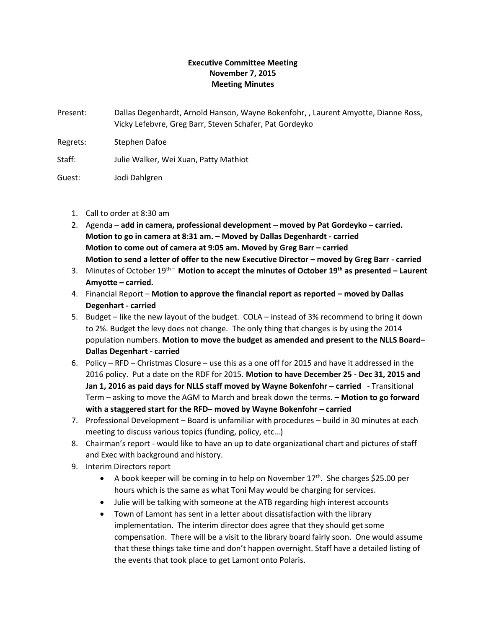### **Executive Committee Meeting November 7, 2015 Meeting Minutes**

Present: Dallas Degenhardt, Arnold Hanson, Wayne Bokenfohr, , Laurent Amyotte, Dianne Ross, Vicky Lefebvre, Greg Barr, Steven Schafer, Pat Gordeyko

Regrets: Stephen Dafoe

Staff: Julie Walker, Wei Xuan, Patty Mathiot

Guest: Jodi Dahlgren

- 1. Call to order at 8:30 am
- 2. Agenda **add in camera, professional development – moved by Pat Gordeyko – carried. Motion to go in camera at 8:31 am. – Moved by Dallas Degenhardt - carried Motion to come out of camera at 9:05 am. Moved by Greg Barr – carried Motion to send a letter of offer to the new Executive Director – moved by Greg Barr - carried**
- 3. Minutes of October 19th **– Motion to accept the minutes of October 19th as presented – Laurent Amyotte – carried.**
- 4. Financial Report **Motion to approve the financial report as reported – moved by Dallas Degenhart - carried**
- 5. Budget like the new layout of the budget. COLA instead of 3% recommend to bring it down to 2%. Budget the levy does not change. The only thing that changes is by using the 2014 population numbers. **Motion to move the budget as amended and present to the NLLS Board– Dallas Degenhart - carried**
- 6. Policy RFD Christmas Closure use this as a one off for 2015 and have it addressed in the 2016 policy. Put a date on the RDF for 2015. **Motion to have December 25 - Dec 31, 2015 and Jan 1, 2016 as paid days for NLLS staff moved by Wayne Bokenfohr – carried** - Transitional Term – asking to move the AGM to March and break down the terms. **– Motion to go forward with a staggered start for the RFD– moved by Wayne Bokenfohr – carried**
- 7. Professional Development Board is unfamiliar with procedures build in 30 minutes at each meeting to discuss various topics (funding, policy, etc…)
- 8. Chairman's report would like to have an up to date organizational chart and pictures of staff and Exec with background and history.
- 9. Interim Directors report
	- A book keeper will be coming in to help on November  $17<sup>th</sup>$ . She charges \$25.00 per hours which is the same as what Toni May would be charging for services.
	- Julie will be talking with someone at the ATB regarding high interest accounts
	- Town of Lamont has sent in a letter about dissatisfaction with the library implementation. The interim director does agree that they should get some compensation. There will be a visit to the library board fairly soon. One would assume that these things take time and don't happen overnight. Staff have a detailed listing of the events that took place to get Lamont onto Polaris.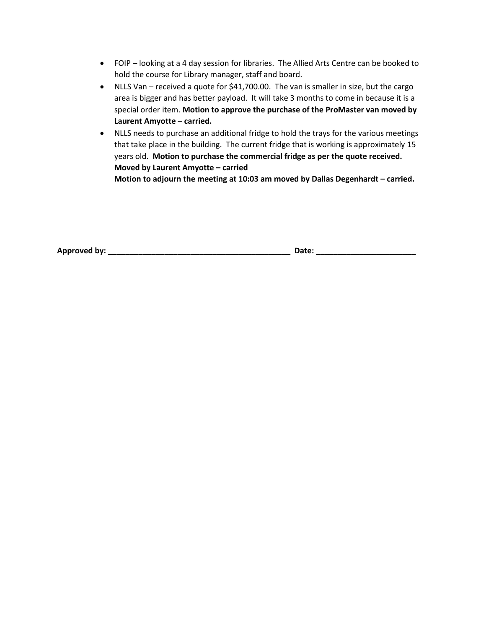- FOIP looking at a 4 day session for libraries. The Allied Arts Centre can be booked to hold the course for Library manager, staff and board.
- NLLS Van received a quote for \$41,700.00. The van is smaller in size, but the cargo area is bigger and has better payload. It will take 3 months to come in because it is a special order item. **Motion to approve the purchase of the ProMaster van moved by Laurent Amyotte – carried.**
- NLLS needs to purchase an additional fridge to hold the trays for the various meetings that take place in the building. The current fridge that is working is approximately 15 years old. **Motion to purchase the commercial fridge as per the quote received. Moved by Laurent Amyotte – carried**

**Motion to adjourn the meeting at 10:03 am moved by Dallas Degenhardt – carried.**

**Approved by: \_\_\_\_\_\_\_\_\_\_\_\_\_\_\_\_\_\_\_\_\_\_\_\_\_\_\_\_\_\_\_\_\_\_\_\_\_\_\_\_\_\_ Date: \_\_\_\_\_\_\_\_\_\_\_\_\_\_\_\_\_\_\_\_\_\_\_**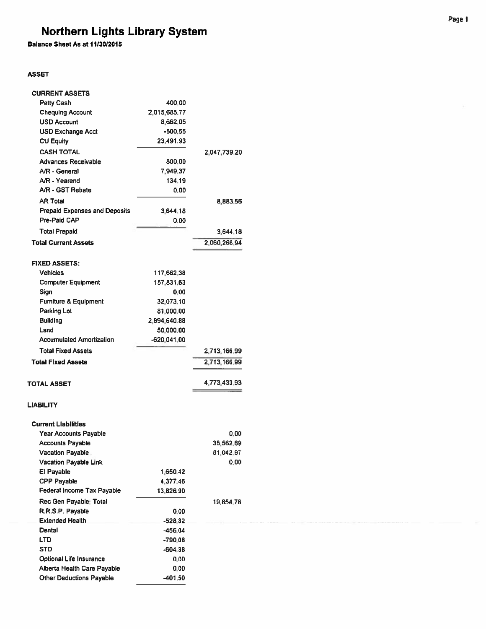Balance Sheet As at 11/30/2015

### **ASSET**

| <b>CURRENT ASSETS</b>                |              |              |
|--------------------------------------|--------------|--------------|
| <b>Petty Cash</b>                    | 400.00       |              |
| <b>Chequing Account</b>              | 2,015,685.77 |              |
| <b>USD Account</b>                   | 8,662.05     |              |
| <b>USD Exchange Acct</b>             | $-500.55$    |              |
| <b>CU Equity</b>                     | 23,491.93    |              |
| <b>CASH TOTAL</b>                    |              | 2,047,739.20 |
| Advances Receivable                  | 800.00       |              |
| A/R - General                        | 7,949.37     |              |
| A/R - Yearend                        | 134.19       |              |
| A/R - GST Rebate                     | 0.00         |              |
| <b>AR Total</b>                      |              | 8.883.56     |
| <b>Prepaid Expenses and Deposits</b> | 3,644.18     |              |
| Pre-Paid CAP                         | 0.00         |              |
| <b>Total Prepaid</b>                 |              | 3,644.18     |
| <b>Total Current Assets</b>          |              | 2.060.266.94 |
|                                      |              |              |
| <b>FIXED ASSETS:</b>                 |              |              |
| <b>Vehicles</b>                      | 117,662,38   |              |
| <b>Computer Equipment</b>            | 157,831,63   |              |
| Sign                                 | 0.00         |              |
| <b>Furniture &amp; Equipment</b>     | 32,073.10    |              |
| <b>Parking Lot</b>                   | 81,000.00    |              |
| <b>Building</b>                      | 2,894,640.88 |              |
| Land                                 | 50,000.00    |              |
| <b>Accumulated Amortization</b>      | -620,041.00  |              |
| <b>Total Fixed Assets</b>            |              | 2,713,166.99 |
| <b>Total Fixed Assets</b>            |              | 2,713,166.99 |
|                                      |              |              |
| <b>TOTAL ASSET</b>                   |              | 4,773,433.93 |
| <b>LIABILITY</b>                     |              |              |
| <b>Current Liabilities</b>           |              |              |
| <b>Year Accounts Payable</b>         |              | 0.00         |
| <b>Accounts Payable</b>              |              | 35,562.69    |
| <b>Vacation Payable</b>              |              | 81,042.97    |
| <b>Vacation Payable Link</b>         |              | 0.00         |
| El Payable                           | 1,650.42     |              |
| <b>CPP Payable</b>                   | 4,377.46     |              |
| Federal Income Tax Payable           | 13,826.90    |              |
| Rec Gen Payable: Total               |              | 19,854.78    |
| R.R.S.P. Payable                     | 0.00         |              |
| <b>Extended Health</b>               | $-528.82$    |              |
| Dental                               | -456.04      |              |
| LTD                                  | -790.08      |              |
| STD                                  | -604.38      |              |
| <b>Optional Life Insurance</b>       | 0.00         |              |
| Alberta Health Care Payable          | 0.00         |              |
| <b>Other Deductions Payable</b>      | -401.50      |              |
|                                      |              |              |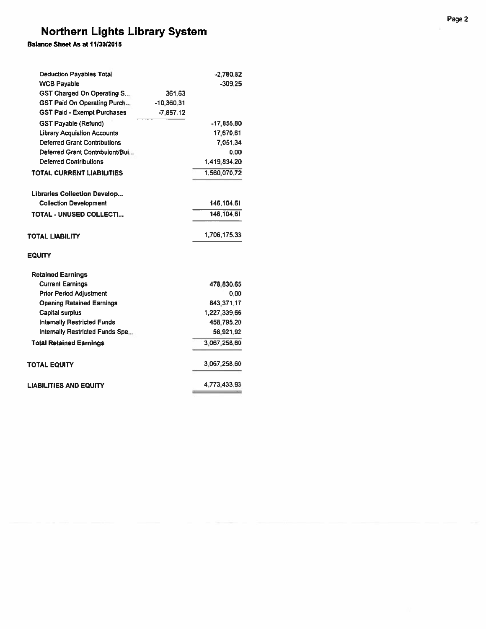Balance Sheet As at 11/30/2015

| <b>Deduction Payables Total</b>     |              | $-2,780.82$  |
|-------------------------------------|--------------|--------------|
| <b>WCB Payable</b>                  |              | $-309.25$    |
| GST Charged On Operating S          | 361.63       |              |
| <b>GST Paid On Operating Purch</b>  | $-10.360.31$ |              |
| <b>GST Paid - Exempt Purchases</b>  | $-7,857.12$  |              |
| <b>GST Payable (Refund)</b>         |              | -17,855.80   |
| <b>Library Acquistion Accounts</b>  |              | 17,670.61    |
| <b>Deferred Grant Contributions</b> |              | 7,051.34     |
| Deferred Grant Contribuiont/Bui     |              | 0.00         |
| <b>Deferred Contributions</b>       |              | 1,419,834.20 |
| <b>TOTAL CURRENT LIABILITIES</b>    |              | 1.560.070.72 |
| <b>Libraries Collection Develop</b> |              |              |
| <b>Collection Development</b>       |              | 146,104.61   |
| <b>TOTAL - UNUSED COLLECTI</b>      |              | 146, 104.61  |
| TOTAL LIABILITY                     |              | 1,706,175.33 |
| EQUITY                              |              |              |
| <b>Retained Earnings</b>            |              |              |
| <b>Current Earnings</b>             |              | 478,830,65   |
| <b>Prior Period Adjustment</b>      |              | 0.00         |
| <b>Opening Retained Earnings</b>    |              | 843.371.17   |
| <b>Capital surplus</b>              |              | 1,227,339.66 |
| <b>Internally Restricted Funds</b>  |              | 458,795.20   |
| Internally Restricted Funds Spe     |              | 58,921.92    |
| <b>Total Retained Earnings</b>      |              | 3.067.258.60 |
| TOTAL EQUITY                        |              | 3,067,258.60 |
| LIABILITIES AND EQUITY              |              | 4,773,433.93 |
|                                     |              |              |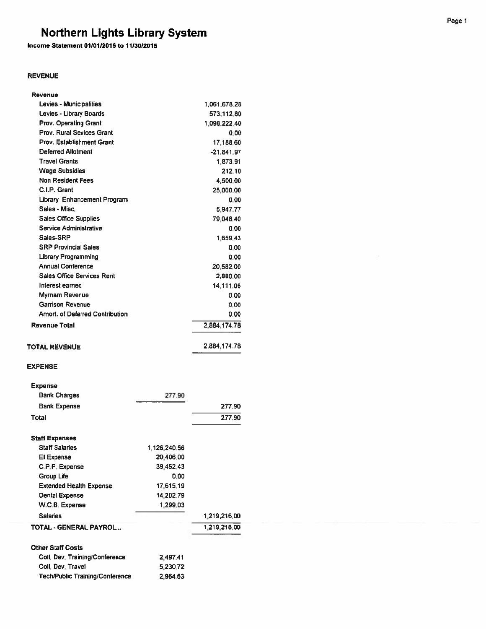Income Statement 01/01/2015 to 11/30/2015

### **REVENUE**

| Revenue                           |              |
|-----------------------------------|--------------|
| Levies - Municipalities           | 1,061,678.28 |
| Levies - Library Boards           | 573,112.80   |
| <b>Prov. Operating Grant</b>      | 1.098.222.40 |
| <b>Prov. Rural Sevices Grant</b>  | 0.00         |
| <b>Prov. Establishment Grant</b>  | 17,188.60    |
| Deferred Allotment                | $-21,841.97$ |
| <b>Travel Grants</b>              | 1,873.91     |
| <b>Wage Subsidies</b>             | 212.10       |
| <b>Non Resident Fees</b>          | 4,500.00     |
| C.I.P. Grant                      | 25,000.00    |
| Library Enhancement Program       | 0.00         |
| Sales - Misc.                     | 5,947.77     |
| <b>Sales Office Supplies</b>      | 79,048.40    |
| Service Administrative            | 0.00         |
| Sales-SRP                         | 1.659.43     |
| <b>SRP Provincial Sales</b>       | 0.00         |
| <b>Library Programming</b>        | 0.00         |
| <b>Annual Conference</b>          | 20,582.00    |
| <b>Sales Office Services Rent</b> | 2,880.00     |
| Interest earned                   | 14.111.06    |
| Myrnam Revenue                    | 0.00         |
| <b>Garrison Revenue</b>           | 0.00         |
| Amort, of Deferred Contribution   | 0.00         |
| Revenue Total                     | 2,884,174.78 |
| <b>TOTAL REVENUE</b>              | 2.884.174.78 |

### **EXPENSE**

| <b>Expense</b>                         |              |              |
|----------------------------------------|--------------|--------------|
| <b>Bank Charges</b>                    | 277.90       |              |
| <b>Bank Expense</b>                    |              | 277.90       |
| Total                                  |              | 277.90       |
| <b>Staff Expenses</b>                  |              |              |
| <b>Staff Salaries</b>                  | 1,126,240.56 |              |
| El Expense                             | 20,406.00    |              |
| C.P.P. Expense                         | 39,452.43    |              |
| Group Life                             | 0.00         |              |
| <b>Extended Health Expense</b>         | 17,615.19    |              |
| <b>Dental Expense</b>                  | 14.202.79    |              |
| W.C.B. Expense                         | 1.299.03     |              |
| <b>Salaries</b>                        |              | 1,219,216.00 |
| TOTAL - GENERAL PAYROL                 |              | 1,219,216.00 |
| <b>Other Staff Costs</b>               |              |              |
| Coll, Dev. Training/Conference         | 2,497.41     |              |
| Coll. Dev. Travel                      | 5,230.72     |              |
| <b>Tech/Public Training/Conference</b> | 2,964.53     |              |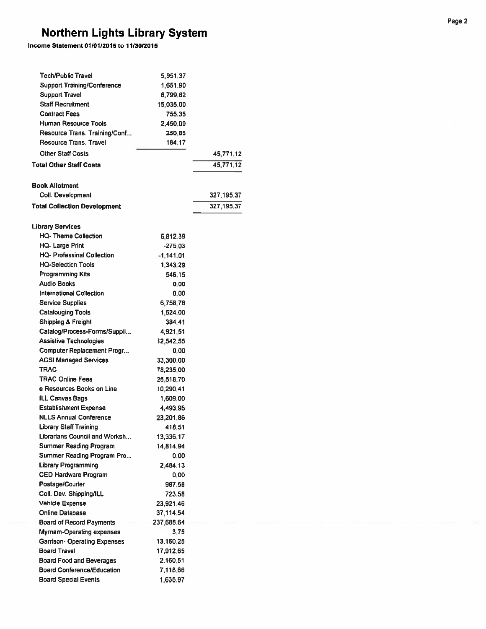### Income Statement 01/01/2015 to 11/30/2015

| <b>Tech/Public Travel</b>           | 5,951.37    |            |
|-------------------------------------|-------------|------------|
| <b>Support Training/Conference</b>  | 1,651.90    |            |
| <b>Support Travel</b>               | 8,799,82    |            |
| <b>Staff Recruitment</b>            | 15,035.00   |            |
| <b>Contract Fees</b>                | 755.35      |            |
| Human Resource Tools                | 2,450.00    |            |
| Resource Trans, Training/Conf       | 250.85      |            |
| <b>Resource Trans. Travel</b>       | 184.17      |            |
| <b>Other Staff Costs</b>            |             | 45,771.12  |
| <b>Total Other Staff Costs</b>      |             | 45,771.12  |
| <b>Book Allotment</b>               |             |            |
| Coll. Development                   |             | 327,195.37 |
| <b>Total Collection Development</b> |             | 327,195.37 |
| <b>Library Services</b>             |             |            |
| <b>HQ-Theme Collection</b>          | 6,812.39    |            |
| <b>HQ-Large Print</b>               | $-275.03$   |            |
| HQ- Professinal Collection          | $-1,141.01$ |            |
| <b>HQ-Selection Tools</b>           | 1,343.29    |            |
| <b>Programming Kits</b>             | 546.15      |            |
| <b>Audio Books</b>                  | 0.00        |            |
| <b>International Collection</b>     | 0.00        |            |
| <b>Service Supplies</b>             | 6,758.78    |            |
| <b>Catalouging Tools</b>            | 1,524.00    |            |
| <b>Shipping &amp; Freight</b>       | 384.41      |            |
| Catalog/Process-Forms/Suppli        | 4,921.51    |            |
| <b>Assistive Technologies</b>       | 12,542.55   |            |
| Computer Replacement Progr          | 0.00        |            |
| <b>ACSI Managed Services</b>        | 33,300.00   |            |
| TRAC                                | 78,235.00   |            |
| <b>TRAC Online Fees</b>             | 25,518.70   |            |
| e Resources Books on Line           | 10,290.41   |            |
| <b>ILL Canvas Bags</b>              | 1,609.00    |            |
| <b>Establishment Expense</b>        | 4,493.95    |            |
| <b>NLLS Annual Conference</b>       | 23,201.86   |            |
| Library Staff Training              | 418,51      |            |
| Librarians Council and Worksh       | 13.336.17   |            |
| <b>Summer Reading Program</b>       | 14,814.94   |            |
| Summer Reading Program Pro          | 0.00        |            |
| <b>Library Programming</b>          | 2,484.13    |            |
| <b>CED Hardware Program</b>         | 0.00        |            |
| Postage/Courier                     | 987.58      |            |
| Coll. Dev. Shipping/ILL             | 723.58      |            |
| <b>Vehicle Expense</b>              | 23,921.46   |            |
| Online Database                     | 37,114.54   |            |
| <b>Board of Record Payments</b>     | 237.688.64  |            |
| Myrnam-Operating expenses           | 3.75        |            |
| <b>Garrison- Operating Expenses</b> | 13,160.25   |            |
| <b>Board Travel</b>                 | 17,912.65   |            |
| <b>Board Food and Beverages</b>     | 2,160.51    |            |
| <b>Board Conference/Education</b>   | 7.118.66    |            |
| <b>Board Special Events</b>         | 1,635.97    |            |
|                                     |             |            |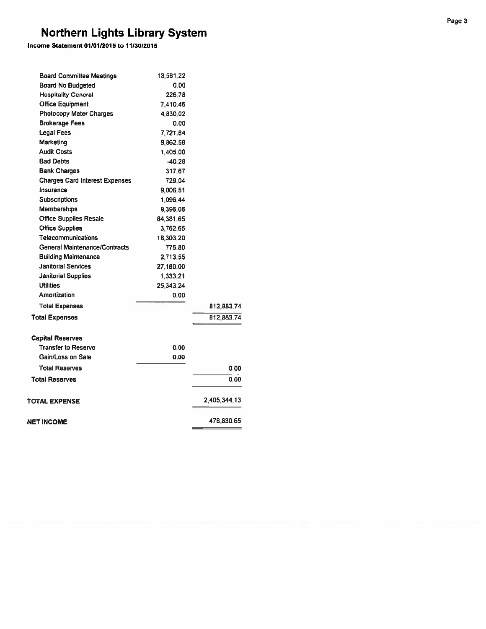Income Statement 01/01/2015 to 11/30/2015

| <b>Board Committee Meetings</b>       | 13,581.22 |              |
|---------------------------------------|-----------|--------------|
| <b>Board No Budgeted</b>              | 0.00      |              |
| <b>Hospitality General</b>            | 226.78    |              |
| <b>Office Equipment</b>               | 7.410.46  |              |
| <b>Photocopy Meter Charges</b>        | 4,830.02  |              |
| <b>Brokerage Fees</b>                 | 0.00      |              |
| <b>Legal Fees</b>                     | 7,721.64  |              |
| Marketing                             | 9,862.58  |              |
| <b>Audit Costs</b>                    | 1,405.00  |              |
| <b>Bad Debts</b>                      | $-40.28$  |              |
| <b>Bank Charges</b>                   | 317.67    |              |
| <b>Charges Card Interest Expenses</b> | 729.04    |              |
| Insurance                             | 9,006.51  |              |
| <b>Subscriptions</b>                  | 1,096.44  |              |
| <b>Memberships</b>                    | 9,396.06  |              |
| <b>Office Supplies Resale</b>         | 84,381.65 |              |
| <b>Office Supplies</b>                | 3,762.65  |              |
| <b>Telecommunications</b>             | 18,303.20 |              |
| General Maintenance/Contracts         | 775.80    |              |
| <b>Building Maintenance</b>           | 2.713.55  |              |
| <b>Janitorial Services</b>            | 27,180.00 |              |
| <b>Janitorial Supplies</b>            | 1.333.21  |              |
| <b>Utilities</b>                      | 25.343.24 |              |
| Amortization                          | 0.00      |              |
| <b>Total Expenses</b>                 |           | 812,883.74   |
| <b>Total Expenses</b>                 |           | 812,883.74   |
| <b>Capital Reserves</b>               |           |              |
| <b>Transfer to Reserve</b>            | 0.00      |              |
| Gain/Loss on Sale                     | 0.00      |              |
| <b>Total Reserves</b>                 |           | 0.00         |
| <b>Total Reserves</b>                 |           | 0.00         |
| TOTAL EXPENSE                         |           | 2,405,344.13 |
| NET INCOME                            |           | 478,830.65   |
|                                       |           |              |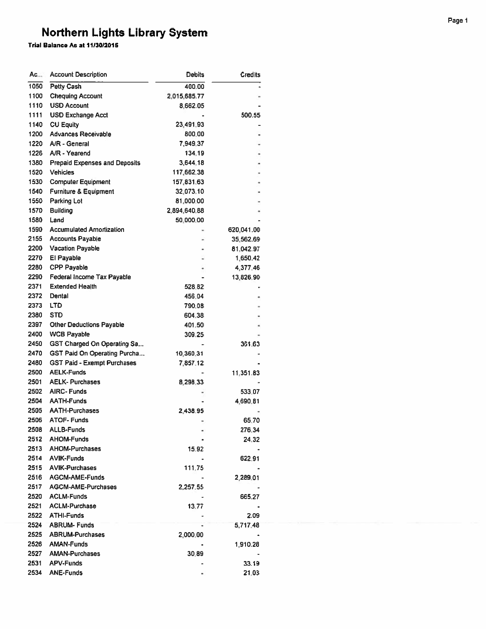| Ac   | <b>Account Description</b>           | Debits           | Credits    |
|------|--------------------------------------|------------------|------------|
| 1050 | Petty Cash                           | 400.00           |            |
| 1100 | <b>Chequing Account</b>              | 2.015.685.77     |            |
| 1110 | <b>USD Account</b>                   | 8,662.05         |            |
| 1111 | <b>USD Exchange Acct</b>             |                  | 500.55     |
| 1140 | <b>CU Equity</b>                     | 23,491.93        |            |
| 1200 | Advances Receivable                  | 800.00           |            |
| 1220 | A/R - General                        | 7,949.37         |            |
| 1226 | A/R - Yearend                        | 134,19           |            |
| 1380 | <b>Prepaid Expenses and Deposits</b> | 3,644.18         |            |
| 1520 | <b>Vehicles</b>                      | 117,662.38       |            |
| 1530 | <b>Computer Equipment</b>            | 157,831.63       |            |
| 1540 | Furniture & Equipment                | 32,073.10        |            |
| 1550 | Parking Lot                          | 81,000.00        |            |
| 1570 | <b>Building</b>                      | 2,894,640.88     |            |
| 1580 | Land                                 | 50,000.00        |            |
| 1590 | <b>Accumulated Amortization</b>      |                  | 620,041.00 |
| 2155 | <b>Accounts Payable</b>              |                  | 35,562.69  |
| 2200 | <b>Vacation Payable</b>              |                  | 81,042.97  |
| 2270 | El Payable                           |                  | 1,650.42   |
| 2280 | <b>CPP Payable</b>                   |                  | 4,377.46   |
| 2290 | Federal Income Tax Payable           |                  | 13,826.90  |
| 2371 | <b>Extended Health</b>               | 528.82           |            |
| 2372 | Dental                               | 456.04           |            |
| 2373 | LTD                                  | 790.08           |            |
| 2380 | <b>STD</b>                           | 604.38           |            |
| 2397 | <b>Other Deductions Payable</b>      |                  |            |
| 2400 | <b>WCB Payable</b>                   | 401.50<br>309.25 |            |
| 2450 |                                      |                  |            |
| 2470 | <b>GST Charged On Operating Sa</b>   |                  | 361.63     |
| 2480 | <b>GST Paid On Operating Purcha</b>  | 10,360.31        |            |
|      | <b>GST Paid - Exempt Purchases</b>   | 7,857.12         |            |
| 2500 | <b>AELK-Funds</b>                    |                  | 11,351.83  |
| 2501 | <b>AELK-Purchases</b>                | 8,298.33         |            |
| 2502 | <b>AIRC-Funds</b>                    |                  | 533.07     |
| 2504 | <b>AATH-Funds</b>                    |                  | 4,690,81   |
| 2505 | <b>AATH-Purchases</b>                | 2,438.95         |            |
| 2506 | <b>ATOF-Funds</b>                    |                  | 65.70      |
| 2508 | <b>ALLB-Funds</b>                    |                  | 276.34     |
| 2512 | <b>AHOM-Funds</b>                    |                  | 24.32      |
| 2513 | <b>AHOM-Purchases</b>                | 15.92            |            |
| 2514 | <b>AVIK-Funds</b>                    |                  | 622.91     |
| 2515 | <b>AVIK-Purchases</b>                | 111,75           |            |
| 2516 | <b>AGCM-AME-Funds</b>                |                  | 2,289.01   |
| 2517 | <b>AGCM-AME-Purchases</b>            | 2,257.55         |            |
| 2520 | <b>ACLM-Funds</b>                    |                  | 665.27     |
| 2521 | <b>ACLM-Purchase</b>                 | 13.77            |            |
| 2522 | <b>ATHI-Funds</b>                    |                  | 2.09       |
| 2524 | <b>ABRUM-Funds</b>                   |                  | 5,717.48   |
| 2525 | <b>ABRUM-Purchases</b>               | 2,000.00         |            |
| 2526 | <b>AMAN-Funds</b>                    |                  | 1,910.28   |
| 2527 | <b>AMAN-Purchases</b>                | 30.89            |            |
| 2531 | <b>APV-Funds</b>                     |                  | 33.19      |
| 2534 | <b>ANE-Funds</b>                     |                  | 21.03      |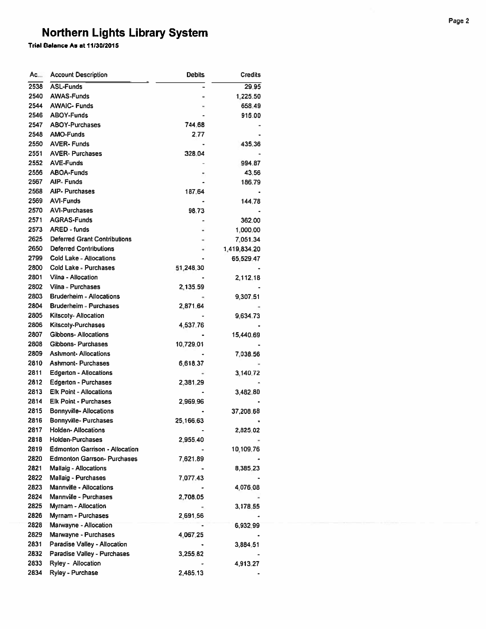| Ac           | <b>Account Description</b>                           | <b>Debits</b> | <b>Credits</b> |
|--------------|------------------------------------------------------|---------------|----------------|
| 2538         | <b>ASL-Funds</b>                                     |               | 29.95          |
| 2540         | <b>AWAS-Funds</b>                                    |               | 1.225.50       |
| 2544         | <b>AWAIC-Funds</b>                                   |               | 658.49         |
| 2546         | <b>ABOY-Funds</b>                                    |               | 915.00         |
| 2547         | <b>ABOY-Purchases</b>                                | 744.68        |                |
| 2548         | <b>AMO-Funds</b>                                     | 2.77          |                |
| 2550         | <b>AVER-Funds</b>                                    |               | 435.36         |
| 2551         | <b>AVER-Purchases</b>                                | 328.04        |                |
| 2552         | <b>AVE-Funds</b>                                     |               | 994.87         |
| 2556         | <b>ABOA-Funds</b>                                    |               | 43.56          |
| 2567         | <b>AIP-Funds</b>                                     |               | 186.79         |
| 2568         | <b>AIP- Purchases</b>                                | 187.64        |                |
| 2569         | <b>AVI-Funds</b>                                     |               | 144,78         |
| 2570         | <b>AVI-Purchases</b>                                 | 98.73         |                |
| 2571         | <b>AGRAS-Funds</b>                                   |               | 362.00         |
| 2573         | <b>ARED - funds</b>                                  |               | 1,000.00       |
| 2625         | <b>Deferred Grant Contributions</b>                  |               | 7,051.34       |
| 2650         | <b>Deferred Contributions</b>                        |               | 1,419,834,20   |
| 2799         | Cold Lake - Allocations                              |               |                |
| 2800         | <b>Cold Lake - Purchases</b>                         | 51,248.30     | 65,529.47      |
| 2801         | Vilna - Allocation                                   |               |                |
|              |                                                      |               | 2,112.18       |
| 2802<br>2803 | Vilna - Purchases<br><b>Bruderheim - Allocations</b> | 2,135.59      |                |
|              |                                                      |               | 9,307,51       |
| 2804         | <b>Bruderheim - Purchases</b>                        | 2,871.64      |                |
| 2805         | <b>Kitscoty-Allocation</b>                           |               | 9,634.73       |
| 2806         | <b>Kitscoty-Purchases</b>                            | 4,537.76      |                |
| 2807         | Gibbons-Allocations                                  |               | 15,440.69      |
| 2808         | Gibbons-Purchases                                    | 10,729.01     |                |
| 2809         | <b>Ashmont-Allocations</b>                           |               | 7,038.56       |
| 2810         | <b>Ashmont-Purchases</b>                             | 6,618.37      |                |
| 2811         | <b>Edgerton - Allocations</b>                        |               | 3,140.72       |
| 2812         | <b>Edgerton - Purchases</b>                          | 2,381.29      |                |
| 2813         | <b>Elk Point - Allocations</b>                       |               | 3,482.80       |
| 2814         | <b>Elk Point - Purchases</b>                         | 2,969.96      |                |
| 2815         | Bonnyville- Allocations                              |               | 37,208.68      |
| 2816         | Bonnyville-Purchases                                 | 25,166.63     |                |
| 2817         | <b>Holden-Allocations</b>                            |               | 2,825.02       |
| 2818         | Holden-Purchases                                     | 2,955.40      |                |
| 2819         | <b>Edmonton Garrison - Allocation</b>                |               | 10,109.76      |
| 2820         | <b>Edmonton Garrson- Purchases</b>                   | 7,621.89      |                |
| 2821         | <b>Mallaig - Allocations</b>                         |               | 8,385,23       |
| 2822         | Mallaig - Purchases                                  | 7,077.43      |                |
| 2823         | <b>Mannville - Allocations</b>                       |               | 4,076.08       |
| 2824         | Mannville - Purchases                                | 2,708.05      |                |
| 2825         | <b>Myrnam - Allocation</b>                           |               | 3,178.55       |
| 2826         | Myrnam - Purchases                                   | 2,691.56      |                |
| 2828         | Marwayne - Allocation                                |               | 6,932.99       |
| 2829         | Marwayne - Purchases                                 | 4,067.25      |                |
| 2831         | Paradise Valley - Allocation                         |               | 3,884.51       |
| 2832         | Paradise Valley - Purchases                          | 3,255.82      |                |
| 2833         | Ryley - Allocation                                   |               | 4,913.27       |
| 2834         | Ryley - Purchase                                     | 2,485.13      |                |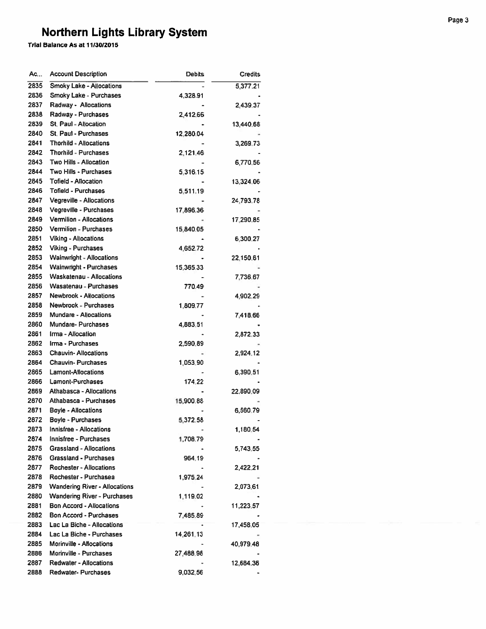| Ac…  | <b>Account Description</b>           | Debits    | <b>Credits</b> |
|------|--------------------------------------|-----------|----------------|
| 2835 | <b>Smoky Lake - Allocations</b>      |           | 5,377.21       |
| 2836 | Smoky Lake - Purchases               | 4,328.91  |                |
| 2837 | Radway - Allocations                 |           | 2,439.37       |
| 2838 | Radway - Purchases                   | 2,412.66  |                |
| 2839 | St. Paul - Allocation                |           | 13,440.68      |
| 2840 | <b>St. Paul - Purchases</b>          | 12,280.04 |                |
| 2841 | <b>Thorhild - Allocations</b>        |           | 3,269.73       |
| 2842 | <b>Thorhild - Purchases</b>          | 2,121.46  |                |
| 2843 | Two Hills - Allocation               |           | 6,770.56       |
| 2844 | Two Hills - Purchases                | 5,316.15  |                |
| 2845 | <b>Tofield - Allocation</b>          |           | 13,324.06      |
| 2846 | <b>Tofield - Purchases</b>           | 5,511,19  |                |
| 2847 | Vegreville - Allocations             |           | 24,793.78      |
| 2848 | Vegreville - Purchases               | 17,896.36 |                |
| 2849 | <b>Vermilion - Allocations</b>       |           |                |
| 2850 | <b>Vermilion - Purchases</b>         |           | 17,290.85      |
|      | <b>Viking - Allocations</b>          | 15,840.05 |                |
| 2851 |                                      |           | 6,300.27       |
| 2852 | <b>Viking - Purchases</b>            | 4,652,72  |                |
| 2853 | <b>Wainwright - Allocations</b>      |           | 22,150.61      |
| 2854 | <b>Wainwright - Purchases</b>        | 15,365.33 |                |
| 2855 | Waskatenau - Allocations             |           | 7,736.67       |
| 2856 | <b>Wasatenau - Purchases</b>         | 770.49    |                |
| 2857 | <b>Newbrook - Allocations</b>        |           | 4,902.29       |
| 2858 | <b>Newbrook - Purchases</b>          | 1,809.77  |                |
| 2859 | <b>Mundare - Allocations</b>         |           | 7,418.66       |
| 2860 | <b>Mundare-Purchases</b>             | 4,883,51  |                |
| 2861 | Irma - Allocation                    |           | 2,872,33       |
| 2862 | Irma - Purchases                     | 2,590.89  |                |
| 2863 | <b>Chauvin-Allocations</b>           |           | 2,924.12       |
| 2864 | <b>Chauvin-Purchases</b>             | 1,053.90  |                |
| 2865 | <b>Lamont-Allocations</b>            |           | 6,390.51       |
| 2866 | Lamont-Purchases                     | 174.22    |                |
| 2869 | <b>Athabasca - Allocations</b>       |           | 22,890.09      |
| 2870 | Athabasca - Purchases                | 15,900.88 |                |
| 2871 | <b>Boyle - Allocations</b>           |           | 6,560.79       |
| 2872 | <b>Boyle - Purchases</b>             | 5,372,58  |                |
| 2873 | <b>Innisfree - Allocations</b>       |           | 1,180.54       |
| 2874 | Innisfree - Purchases                | 1,708.79  |                |
| 2875 | <b>Grassland - Allocations</b>       |           | 5,743.55       |
| 2876 | <b>Grassland - Purchases</b>         | 964.19    |                |
| 2877 | <b>Rochester - Allocations</b>       |           | 2,422.21       |
| 2878 | Rochester - Purchasea                | 1,975,24  |                |
| 2879 | <b>Wandering River - Allocations</b> |           | 2,073.61       |
| 2880 | <b>Wandering River - Purchases</b>   | 1,119.02  |                |
| 2881 | <b>Bon Accord - Allocations</b>      |           | 11,223.57      |
| 2882 | <b>Bon Accord - Purchases</b>        | 7,485.89  |                |
| 2883 | Lac La Biche - Allocations           |           | 17,458.05      |
| 2884 | Lac La Biche - Purchases             | 14,261.13 |                |
| 2885 | Morinville - Allocations             |           | 40,979.48      |
| 2886 | Morinville - Purchases               | 27,488.98 |                |
| 2887 | <b>Redwater - Allocations</b>        |           | 12,684.36      |
| 2888 | <b>Redwater- Purchases</b>           | 9,032.56  |                |
|      |                                      |           |                |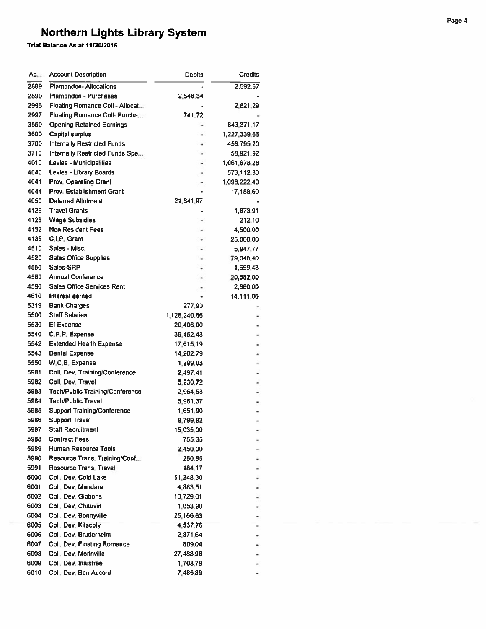| $AC_{++}$    | <b>Account Description</b>                              | Debits                 | <b>Credits</b>        |
|--------------|---------------------------------------------------------|------------------------|-----------------------|
| 2889         | <b>Plamondon-Allocations</b>                            |                        | 2,592.67              |
| 2890         | Plamondon - Purchases                                   | 2,548.34               |                       |
| 2996         | Floating Romance Coll - Allocat                         |                        | 2,821,29              |
| 2997         | Floating Romance Coll- Purcha                           | 741.72                 |                       |
| 3550         | <b>Opening Retained Earnings</b>                        |                        | 843,371.17            |
| 3600         | Capital surplus                                         |                        | 1,227,339.66          |
| 3700         | <b>Internally Restricted Funds</b>                      |                        | 458,795.20            |
| 3710         | Internally Restricted Funds Spe                         |                        | 58,921.92             |
| 4010         | Levies - Municipalities                                 |                        | 1,061,678.28          |
| 4040         | Levies - Library Boards                                 | ٠                      | 573,112.80            |
| 4041         | <b>Prov. Operating Grant</b>                            |                        | 1,098,222,40          |
| 4044         | <b>Prov. Establishment Grant</b>                        |                        | 17,188.60             |
| 4050         | <b>Deferred Allotment</b>                               | 21,841.97              |                       |
| 4126         | <b>Travel Grants</b>                                    |                        | 1,873.91              |
| 4128         | <b>Wage Subsidies</b>                                   |                        | 212.10                |
| 4132         | <b>Non Resident Fees</b>                                |                        | 4,500.00              |
| 4135         | C.I.P. Grant                                            |                        | 25,000.00             |
| 4510         | Sales - Misc.                                           |                        | 5,947.77              |
| 4520         | <b>Sales Office Supplies</b>                            |                        | 79,048.40             |
| 4550         | Sales-SRP                                               |                        |                       |
| 4560         | <b>Annual Conference</b>                                |                        | 1,659.43              |
| 4590         | <b>Sales Office Services Rent</b>                       |                        | 20,582.00<br>2,880.00 |
| 4610         | Interest earned                                         |                        | 14,111,06             |
| 5319         | <b>Bank Charges</b>                                     | 277.90                 |                       |
| 5500         | <b>Staff Salaries</b>                                   | 1,126,240.56           |                       |
| 5530         | El Expense                                              | 20,406.00              |                       |
| 5540         | C.P.P. Expense                                          |                        |                       |
| 5542         | <b>Extended Health Expense</b>                          | 39,452.43<br>17,615.19 |                       |
| 5543         | <b>Dental Expense</b>                                   | 14,202.79              |                       |
| 5550         | W.C.B. Expense                                          |                        |                       |
| 5981         | Coll. Dev. Training/Conference                          | 1,299,03               |                       |
| 5982         | Coll. Dev. Travel                                       | 2,497.41<br>5,230,72   |                       |
| 5983         | Tech/Public Training/Conference                         | 2,964.53               |                       |
| 5984         | <b>Tech/Public Travel</b>                               | 5,951.37               |                       |
| 5985         | <b>Support Training/Conference</b>                      |                        |                       |
| 5986         | Support Travel                                          | 1,651.90<br>8,799.82   |                       |
|              | <b>Staff Recruitment</b>                                |                        |                       |
| 5987         | <b>Contract Fees</b>                                    | 15,035.00<br>755.35    |                       |
| 5988         | <b>Human Resource Tools</b>                             |                        |                       |
| 5989<br>5990 |                                                         | 2,450.00               |                       |
|              | Resource Trans. Training/Conf<br>Resource Trans. Travel | 250.85                 |                       |
| 5991<br>6000 | Coll. Dev. Cold Lake                                    | 184.17<br>51,248.30    |                       |
| 6001         | Coll. Dev. Mundare                                      |                        |                       |
|              | Coll. Dev. Gibbons                                      | 4,883.51               |                       |
| 6002         |                                                         | 10,729.01              |                       |
| 6003         | Coll. Dev. Chauvin                                      | 1,053.90               |                       |
| 6004         | Coll. Dev. Bonnyville                                   | 25,166.63              |                       |
| 6005         | Coll. Dev. Kitscoty                                     | 4,537.76               |                       |
| 6006         | Coll. Dev. Bruderheim                                   | 2,871,64               |                       |
| 6007         | Coll. Dev. Floating Romance                             | 809.04                 |                       |
| 6008         | Coll. Dev. Morinville                                   | 27,488.98              |                       |
| 6009<br>6010 | Coll. Dev. Innisfree<br>Coll. Dev. Bon Accord           | 1,708.79<br>7.485.89   |                       |
|              |                                                         |                        |                       |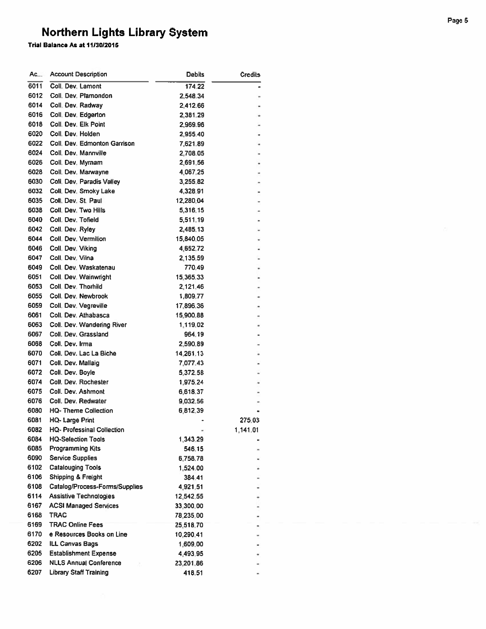| Ac   | <b>Account Description</b>        | Debits    | Credits  |
|------|-----------------------------------|-----------|----------|
| 6011 | Coll, Dev, Lamont                 | 174.22    |          |
| 6012 | Coll. Dev. Plamondon              | 2,548.34  |          |
| 6014 | Coll. Dev. Radway                 | 2,412.66  |          |
| 6016 | Coll. Dev. Edgerton               | 2,381,29  |          |
| 6018 | Coll. Dev. Elk Point              | 2,969.96  |          |
| 6020 | Coll. Dev. Holden                 | 2,955.40  |          |
| 6022 | Coll, Dev. Edmonton Garrison      | 7,621.89  | ٠        |
| 6024 | Coll. Dev. Mannville              | 2,708.05  |          |
| 6026 | Coll, Dev, Myrnam                 | 2,691.56  | ٠        |
| 6028 | Coll. Dev. Marwayne               | 4,067.25  | ۰        |
| 6030 | Coll, Dev, Paradis Valley         | 3,255.82  |          |
| 6032 | Coll, Dev, Smoky Lake             | 4,328.91  |          |
| 6035 | Coll. Dev. St. Paul               | 12,280.04 |          |
| 6038 | Coll, Dev, Two Hills              | 5,316.15  |          |
| 6040 | Coll. Dev. Tofield                | 5,511.19  |          |
| 6042 | Coll. Dev. Ryley                  | 2,485.13  |          |
| 6044 | Coll. Dev. Vermilion              | 15,840.05 |          |
| 6046 | Coll. Dev. Viking                 |           |          |
| 6047 | Coll. Dev. Vilna                  | 4,652.72  |          |
| 6049 | Coll. Dev. Waskatenau             | 2,135.59  |          |
|      |                                   | 770.49    |          |
| 6051 | Coll. Dev. Wainwright             | 15.365.33 |          |
| 6053 | Coll. Dev. Thorhild               | 2,121.46  |          |
| 6055 | Coll. Dev. Newbrook               | 1,809.77  |          |
| 6059 | Coll. Dev. Vegreville             | 17,896.36 |          |
| 6061 | Coll. Dev. Athabasca              | 15,900.88 |          |
| 6063 | Coll. Dev. Wandering River        | 1,119,02  |          |
| 6067 | Coll, Dev. Grassland              | 964,19    |          |
| 6068 | Coll. Dev. Irma                   | 2,590.89  |          |
| 6070 | Coll. Dev. Lac La Biche           | 14,261.13 |          |
| 6071 | Coll. Dev. Mallaig                | 7,077.43  |          |
| 6072 | Coll. Dev. Boyle                  | 5,372.58  |          |
| 6074 | Coll. Dev. Rochester              | 1,975.24  |          |
| 6075 | Coll. Dev. Ashmont                | 6,618.37  |          |
| 6076 | Coll. Dev. Redwater               | 9,032.56  |          |
| 6080 | <b>HQ-Theme Collection</b>        | 6,812.39  |          |
| 6081 | <b>HQ-Large Print</b>             |           | 275.03   |
| 6082 | <b>HQ- Professinal Collection</b> |           | 1,141.01 |
| 6084 | <b>HQ-Selection Tools</b>         | 1,343.29  |          |
| 6085 | <b>Programming Kits</b>           | 546.15    |          |
| 6090 | <b>Service Supplies</b>           | 6,758.78  |          |
| 6102 | <b>Catalouging Tools</b>          | 1,524,00  |          |
| 6106 | Shipping & Freight                | 384.41    |          |
| 6108 | Catalog/Process-Forms/Supplies    | 4,921.51  |          |
| 6114 | <b>Assistive Technologies</b>     | 12,542.55 |          |
| 6167 | <b>ACSI Managed Services</b>      | 33,300.00 |          |
| 6168 | <b>TRAC</b>                       | 78,235.00 |          |
| 6169 | <b>TRAC Online Fees</b>           | 25,518.70 |          |
| 6170 | e Resources Books on Line         | 10,290.41 |          |
| 6202 | <b>ILL Canvas Bags</b>            | 1,609.00  |          |
| 6205 | <b>Establishment Expense</b>      | 4,493.95  |          |
| 6206 | <b>NLLS Annual Conference</b>     | 23,201.86 |          |
| 6207 | <b>Library Staff Training</b>     | 418.51    |          |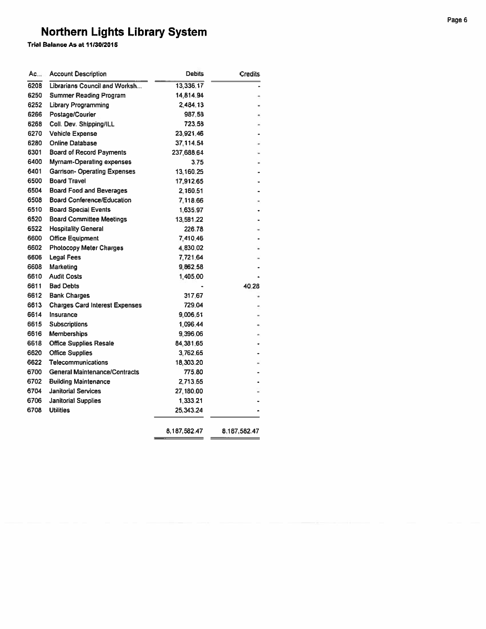Trial Balance As at 11/30/2015

| Ac   | <b>Account Description</b>            | Debits       | Credits      |
|------|---------------------------------------|--------------|--------------|
| 6208 | Librarians Council and Worksh         | 13,336,17    |              |
| 6250 | <b>Summer Reading Program</b>         | 14,814.94    |              |
| 6252 | <b>Library Programming</b>            | 2,484.13     |              |
|      | Postage/Courier                       | 987,58       |              |
|      | Coll. Dev. Shipping/ILL               | 723,58       |              |
|      | <b>Vehicle Expense</b>                | 23,921.46    |              |
|      | <b>Online Database</b>                | 37,114.54    |              |
|      | <b>Board of Record Payments</b>       | 237,688.64   |              |
|      | Myrnam-Operating expenses             | 3.75         |              |
|      | <b>Garrison- Operating Expenses</b>   | 13.160.25    |              |
|      | <b>Board Travel</b>                   | 17,912.65    |              |
|      | <b>Board Food and Beverages</b>       | 2,160.51     |              |
|      | <b>Board Conference/Education</b>     | 7,118.66     |              |
|      | <b>Board Special Events</b>           | 1,635.97     |              |
|      | <b>Board Committee Meetings</b>       | 13,581.22    |              |
|      | <b>Hospitality General</b>            | 226.78       |              |
|      | <b>Office Equipment</b>               | 7,410.46     |              |
|      | <b>Photocopy Meter Charges</b>        | 4,830.02     |              |
|      | <b>Legal Fees</b>                     | 7,721.64     |              |
|      | <b>Marketing</b>                      | 9,862.58     |              |
|      | <b>Audit Costs</b>                    | 1,405.00     |              |
|      | <b>Bad Debts</b>                      |              | 40.28        |
|      | <b>Bank Charges</b>                   | 317.67       |              |
|      | <b>Charges Card Interest Expenses</b> | 729.04       |              |
|      | Insurance                             | 9,006.51     |              |
|      | <b>Subscriptions</b>                  | 1,096.44     |              |
|      | <b>Memberships</b>                    | 9,396.06     |              |
|      | <b>Office Supplies Resale</b>         | 84,381.65    |              |
|      | <b>Office Supplies</b>                | 3,762.65     |              |
|      | <b>Telecommunications</b>             | 18,303.20    |              |
|      | <b>General Maintenance/Contracts</b>  | 775.80       |              |
|      | <b>Building Maintenance</b>           | 2,713,55     |              |
|      | <b>Janitorial Services</b>            | 27,180.00    |              |
|      | <b>Janitorial Supplies</b>            | 1,333.21     |              |
|      | <b>Utilities</b>                      | 25,343.24    |              |
|      |                                       | 8.187.582.47 | 8.187.582.47 |

 $=$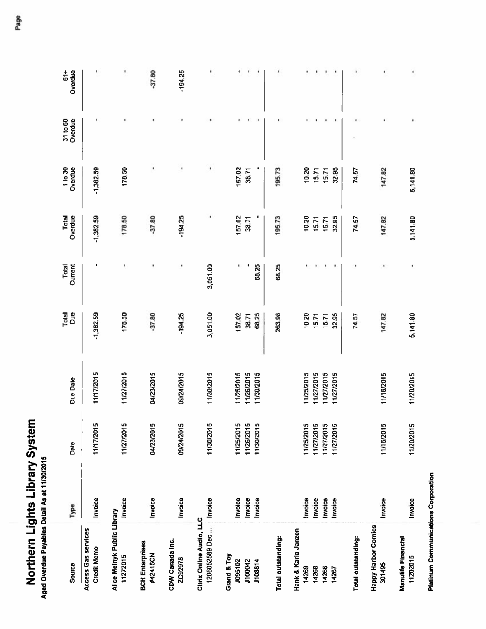| Į<br>h<br>١                |   |
|----------------------------|---|
| 7<br>Í<br>į<br>ī<br>Z<br>ť | ı |

| Source                                     | Type               | Date                                   | <b>Due Date</b>          | <b>Buc</b><br>Total | Current<br>Total | Overdue<br>Total | Overdue<br>1 to 30 | Overdue<br>31 to 60 | $\frac{1}{6}$<br>Overdue |
|--------------------------------------------|--------------------|----------------------------------------|--------------------------|---------------------|------------------|------------------|--------------------|---------------------|--------------------------|
| Access Gas services<br><b>Credit Memo</b>  | Invoice            | 1O<br>11/17/201                        | 11/17/2015               | $-1,382.59$         | ٠                | $-1,382.59$      | $-1,382.59$        |                     |                          |
| Alice Melnyk Public Library<br>11272015    | Invoice            | မာ<br>11/27/201                        | 11/27/2015               | 178.50              | ٠                | 178.50           | 178.50             |                     |                          |
| <b>BCH Enterprises</b><br>#42415CN         | Invoice            | 04/23/2015                             | 04/23/2015               | $-37.80$            |                  | $-37.80$         | t                  |                     | $-37.80$                 |
| CDW Canada Inc.<br>ZC92978                 | Invoice            | 09/24/2015                             | 09/24/2015               | $-194.25$           |                  | $-194.25$        | ٠                  | ٠                   | $-194.25$                |
| Citrix Online Audio, LLC<br>1206052589 Dec | Invoice            | မာ<br>11/30/201                        | 11/30/2015               | 3,051.00            | 3,051.00         |                  | ٠                  |                     |                          |
| Grand & Toy<br>J095102<br>J100042          | Invoice<br>Invoice | ທ ທ<br>11/25/201<br>11/26/201          | 1/25/2015<br>11/26/2015  | 157.02<br>38.71     | ı                | 157.02<br>38.71  | 157,02<br>38.71    | ٠                   |                          |
| J108814                                    | Invoice            | Ю<br>11/30/201                         | 11/30/2015               | 68.25               | 68.25            |                  |                    |                     |                          |
| Total outstanding:                         |                    |                                        |                          | 263.98              | 68,25            | 195.73           | 195.73             |                     |                          |
| Hank & Karla Janzen<br>14269               | Invoice            |                                        | 11/25/2015               | 10.20               |                  | 10,20            | 10,20              |                     |                          |
| 14268<br>14266                             | Invoice            | 11/25/2015<br>11/27/2015<br>11/27/2015 | 1/27/2015                | 15.71               |                  | 15.71            | 15,71              |                     |                          |
| 14267                                      | Invoice<br>Invoice | 11/27/2015                             | 11/27/2015<br>11/27/2015 | 32.95<br>15.71      | ٠                | 32.95<br>15.71   | 32.95<br>15.71     |                     |                          |
| Total outstanding:                         |                    |                                        |                          | 74,57               |                  | 74.57            | 74.57              |                     |                          |
| <b>Happy Harbor Comics</b><br>301495       | Invoice            | 11/16/2015                             | 11/16/2015               | 147.82              |                  | 147.82           | 147.82             |                     |                          |
| <b>Manulife Financial</b><br>11202015      | Invoice            | 11/20/2015                             | 11/20/2015               | 5,141.80            | ŧ                | 5,141.80         | 5,141.80           |                     |                          |

**Platinum Communications Corporation**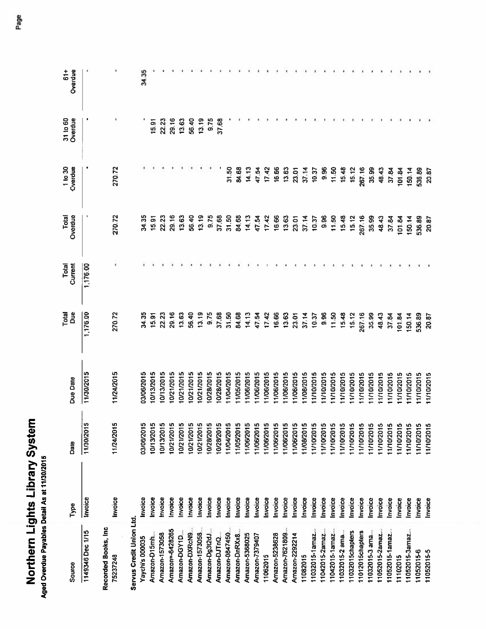| h<br>I<br>ļ<br>Ξ<br>į<br>$\mathbf{I}$ | ٦ |
|---------------------------------------|---|
| í                                     |   |

| Source                           | Type    | Date       | Due Date   | Total<br>å | Total<br>Current | <b>Total</b><br>Overdue | 1 to 30<br>Overdue | 31 to 60<br>Overdue | Overdue<br>$61+$ |
|----------------------------------|---------|------------|------------|------------|------------------|-------------------------|--------------------|---------------------|------------------|
| 1149346 Dec 1/15                 | Invoice | 11/30/2015 | 11/30/2015 | 1,176.00   | 1,176.00         |                         |                    |                     |                  |
| Recorded Books, Inc.<br>75237248 | Invoice | 11/24/2015 | 11/24/2015 | 270.72     |                  | 270.72                  | 270.72             |                     |                  |
| Servus Credit Union Ltd.         |         |            |            |            |                  |                         |                    |                     |                  |
| Yaychi's 000035                  | nvoice  | 03/06/2015 | 03/06/2015 | 34,35      |                  | 34.35                   |                    |                     | 34.35            |
| Amazon-D15mh                     | nvoice  | 10/13/2015 | 10/13/2015 | 15.91      |                  | 15,91                   |                    | 15.91               |                  |
| Amazon-1573058                   | Invoice | 10/13/2015 | 10/13/2015 | 22.23      |                  | 22.23                   |                    | 22.23               |                  |
| Amazon=-6428265                  | Invoice | 10/21/2015 | 10/21/2015 | 29,16      |                  | 29.16                   |                    | 29.16               |                  |
| Amazon-DGY1D                     | Invoice | 10/21/2015 | 10/21/2015 | 13.63      |                  | 13,63                   |                    | 13.63               |                  |
| Amazon-DXRcN9                    | Invoice | 10/21/2015 | 10/21/2015 | 56.40      |                  | 56,40                   |                    | 56.40               |                  |
| Amazon-1573058                   | Invoice | 10/21/2015 | 10/21/2015 | 13,19      |                  | 13.19                   |                    | 13.19               |                  |
| Amazon-Dg3t2dJ                   | Invoice | 10/28/2015 | 10/28/2015 | 9.75       |                  | 9.75                    |                    | 9.75                |                  |
| Amazon-DJTnQ.                    | Invoice | 10/28/2015 | 0/28/2015  | 37.68      |                  | 37.68                   |                    | 37.68               |                  |
| Amazon-0847450                   | Invoice | 11/04/2015 | 1/04/2015  | 31.50      |                  | 31.50                   | 31.50              |                     |                  |
| Amazon-DnRXx8.                   | Invoice | 11/05/2015 | 1/05/2015  | 84,68      |                  | 84.68                   | 84,68              |                     |                  |
| Amazon-5368025                   | Invoice | 11/06/2015 | 1/06/2015  | 14.13      |                  | 14.13                   | 14,13              |                     |                  |
| Amazon-7379407                   | Invoice | 11/06/2015 | 1/06/2015  | 47.54      |                  | 47.54                   | 47.54              |                     |                  |
| 11062015                         | Invoice | 11/06/2015 | 1/06/2015  | 17,42      |                  | 17.42                   | 17.42              |                     |                  |
| Amazon-5238628                   | Invoice | 11/06/2015 | 11/06/2015 | 16,66      |                  | 16.66                   | 16.66              |                     |                  |
| Amazon-7621809                   | Invoice | 11/06/2015 | 11/06/2015 | 13.63      |                  | 13.63                   | 13.63              |                     |                  |
| Amazon-2292214                   | Invoice | 11/06/2015 | 11/06/2015 | 23,01      |                  | 23.01                   | 23.01              |                     |                  |
| 11082015                         | Invoice | 11/08/2015 | 11/08/2015 | 37.14      |                  | 37.14                   | 37.14              |                     |                  |
| 11032015-1amaz                   | Invoice | 11/10/2015 | 11/10/2015 | 10.37      |                  | 10.37                   | 10.37              |                     |                  |
| 11042015-2amaz                   | Invoice | 11/10/2015 | 1110/2015  | 9.96       |                  | 9.96                    | 9.96               |                     |                  |
| 11042015-1amaz                   | Invoice | 11/10/2015 | 1/10/2015  | 11.50      |                  | 11,50                   | 11.50              |                     |                  |
| 11032015-2 ama                   | Invoice | 11/10/2015 | 11/10/2015 | 15,48      |                  | 15.48                   | 15,48              |                     |                  |
| 11032015chapters                 | Invoice | 11/10/2015 | 11/10/2015 | 15.12      |                  | 15.12                   | 15.12              |                     |                  |
| 11012015chapters                 | Invoice | 11/10/2015 | 1/10/2015  | 267.16     |                  | 267,16                  | 267.16             |                     |                  |
| I1032015-3 ama                   | Invoice | 11/10/2015 | 1/10/2015  | 35.99      |                  | 35.99                   | 35,99              |                     |                  |
| 11052015-2amaz.                  | nvoice  | 11/10/2015 | 1/10/2015  | 48.43      |                  | 48.43                   | 48.43              |                     |                  |
| 11052015-1amaz.                  | nvoice  | 11/10/2015 | 1/10/2015  | 37.84      |                  | 37.84                   | 37.84              |                     |                  |
| 11102015                         | nvoice  | 11/10/2015 | 11/10/2015 | 01.84      |                  | 101.84                  | 101.84             |                     |                  |
| 11052015-3amaz.                  | Invoice | 11/10/2015 | 11/10/2015 | 150.14     |                  | 150,14                  | 150.14             |                     |                  |
| 11052015-6                       | Invoice | 11/10/2015 | 11/10/2015 | 536.89     |                  | 536.89                  | 536.89             |                     |                  |
| 11052015-5                       | Invoice | 11/10/2015 | 11/10/2015 | 20.87      |                  | 20.87                   | 20.87              |                     |                  |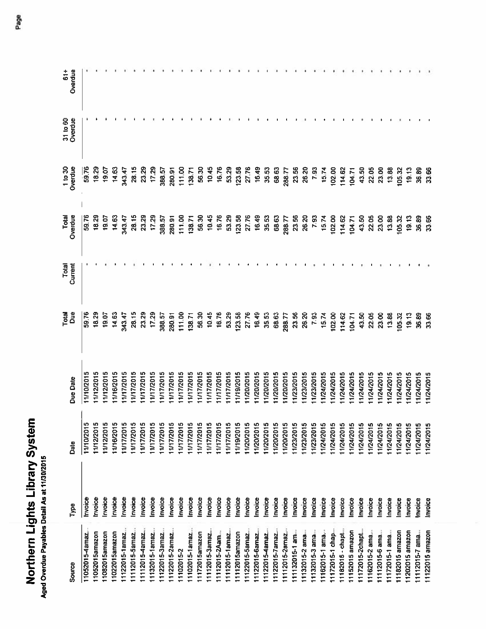| ֧֧ׅ֧֧֧֧֧֧֧֧֧֧֧֧֧֧֧֛֪֛֛֛֛֛֚֚֚֚֚֚֚֚֚֚֚֚֚֚֚֚֚֚֚֚֚֚֚֚֚֚֚֚֚֚֟֓֝֓֝֓֝֓֜֝֬֜֜֜֜<br>֧֧֛֧֖֧֧֛֖֧֛֖֧֚֚֚֚֚֚֚֜֜֜֝֩֩֜<br>į<br>è<br>į<br>֧֞֝֬֝֓֓֓֓֓֓׆֬֓ |  |
|----------------------------------------------------------------------------------------------------------------------------------------|--|
|                                                                                                                                        |  |
|                                                                                                                                        |  |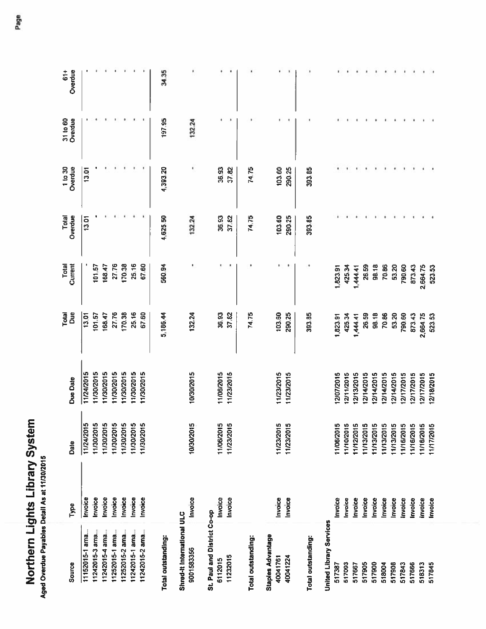| é<br>b<br>ī | 1<br>Ō |
|-------------|--------|
| ì<br>ŕ      | t      |

| Source                                   | Type    | Date       | Due Date   | Due<br>Total | Total<br>Current | Overdue<br>Total | 1 to 30<br>Overdue | 31 to 60<br>Overdue | $61+$<br>Overdue |
|------------------------------------------|---------|------------|------------|--------------|------------------|------------------|--------------------|---------------------|------------------|
| 11152015-1 ama.                          | Invoice | 11/24/2015 | 11/24/2015 | 13.01        |                  | 13.01            | 13.01              |                     |                  |
| 11242015-3 ama.                          | Invoice | 11/30/2015 | 1/30/2015  | 101.57       | 101,57           |                  |                    |                     |                  |
| 11242015-4 ama.                          | Invoice | 11/30/2015 | 11/30/2015 | 168,47       | 168,47           |                  |                    |                     |                  |
| 11252015-1 ama,                          | Invoice | 11/30/2015 | 1/30/2015  | 27,76        | 27.76            |                  |                    |                     |                  |
| 11252015-2 ama.                          | Invoice | 11/30/2015 | 1/30/2015  | 170.38       | 170.38           |                  |                    |                     |                  |
| 11242015-1 ama,                          | Invoice | 11/30/2015 | 1/30/2015  | 25.16        | 25.16            |                  |                    |                     |                  |
| 11242015-2 ama.                          | Invoice | 11/30/2015 | 11/30/2015 | 67.60        | 67.60            |                  |                    |                     |                  |
| Total outstanding:                       |         |            |            | 5,186.44     | 560.94           | 4,625,50         | 4,393,20           | 197.95              | 34.35            |
| Shred-It International ULC<br>9001583356 | Invoice | 10/30/2015 | 10/30/2015 | 132.24       |                  | 132.24           |                    | 132.24              |                  |
| St. Paul and District Co-op<br>6112015   | Invoice | 11/06/2015 | 11/06/2015 | 36,93        |                  | 36.93            | 36.93              |                     |                  |
| 11232015                                 | Invoice | 11/23/2015 | 11/23/2015 | 37.82        |                  | 37.82            | 37.82              |                     |                  |
| Total outstanding:                       |         |            |            | 74.75        |                  | 74.75            | 74.75              |                     |                  |
| <b>Staples Advantage</b><br>40041761     | Invoice | 11/23/2015 | 11/23/2015 | 103,60       |                  | 103,60           | 103,60             |                     |                  |
| 40041224                                 | Invoice | 11/23/2015 | 11/23/2015 | 290.25       |                  | 290,25           | 290.25             |                     |                  |
| <b>Total outstanding:</b>                |         |            |            | 393.85       |                  | 393.85           | 393.85             |                     |                  |
| <b>Jnited Library Services</b>           |         |            |            |              |                  |                  |                    |                     |                  |
| 517387                                   | Invoice | 11/06/2015 | 12/07/2015 | 1,823.91     | 1,823.91         |                  |                    |                     |                  |
| 517093                                   | Invoice | 11/10/2015 | 12/11/2015 | 425.34       | 425,34           |                  |                    |                     |                  |
| 517667                                   | Invoice | 11/12/2015 | 12/13/2015 | 1,444.41     | 1,444.41         |                  |                    |                     |                  |
| 517905                                   | Invoice | 11/13/2015 | 2/14/2015  | 26.59        | 26.59            |                  |                    |                     |                  |
| 517900                                   | Invoice | 11/13/2015 | 12/14/2015 | 98.18        | 98.18            |                  |                    |                     |                  |
| 518004                                   | Invoice | 11/13/2015 | 12/14/2015 | 70.86        | 70,86            |                  |                    |                     |                  |
| 517908                                   | Invoice | 11/13/2015 | 2/14/2015  | 53,20        | 53.20            |                  |                    |                     |                  |
| 517843                                   | Invoice | 11/16/2015 | 2/17/2015  | 790.60       | 790.60           |                  |                    |                     |                  |
| 517666                                   | Invoice | 11/16/2015 | 2/17/2015  | 873.43       | 873.43           |                  |                    |                     |                  |
| 518313                                   | Invoice | 11/16/2015 | 12/17/2015 | 2,664.75     | 2,664.75         |                  |                    |                     |                  |
| 517845                                   | Invoice | 11/17/2015 | 12/18/2015 | 523.53       | 523.53           |                  |                    |                     |                  |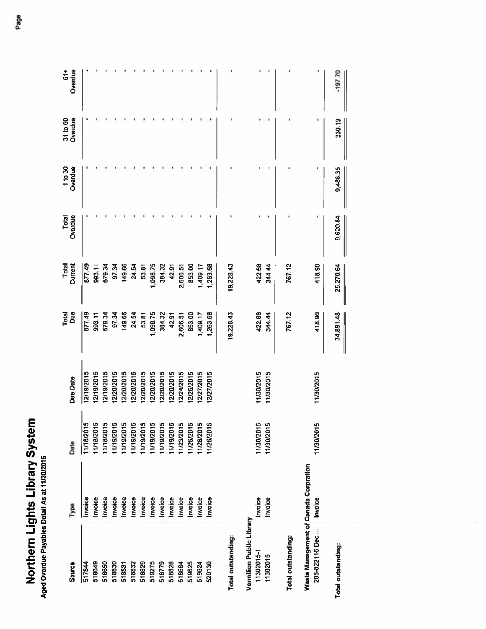| $\overline{\phantom{a}}$<br><u>ត្រ</u> | Ē<br>Ĭ,<br>ŗ |
|----------------------------------------|--------------|
| J                                      | 7            |

| Source                                | Type    | Date       | Due Date   | Total<br>å | Total<br>Current | Overdue<br>Total | 1 to 30<br>Overdue | 31 to 60<br>Overdue | Overdue<br>$61+$ |
|---------------------------------------|---------|------------|------------|------------|------------------|------------------|--------------------|---------------------|------------------|
| 517844                                | nvoice  | 11/18/2015 | 12/19/2015 | 877.49     | 877.49           |                  |                    |                     |                  |
| 518649                                | nvoice  | 11/18/2015 | 2/19/2015  | 993,11     | 993,11           |                  |                    |                     |                  |
| 518650                                | Invoice | 11/18/2015 | 2/19/2015  | 579.34     | 579.34           |                  |                    |                     |                  |
| 518830                                | Invoice | 11/19/2015 | 2/20/2015  | 97.34      | 97.34            |                  |                    |                     |                  |
| 518831                                | Invoice | 11/19/2015 | 2/20/2015  | 149.66     | 149.66           |                  |                    |                     |                  |
| 518832                                | Invoice | 11/19/2015 | 2/20/2015  | 24.54      | 24.54            |                  |                    |                     |                  |
| 518829                                | Invoice | 11/19/2015 | 12/20/2015 | 53,81      | 53,81            |                  |                    |                     |                  |
| 519275                                | Invoice | 11/19/2015 | 2/20/2015  | 1,098.75   | 1,098.75         |                  |                    |                     |                  |
| 518779                                | Invoice | 11/19/2015 | 2/20/2015  | 384.32     | 384.32           |                  |                    |                     |                  |
| 518828                                | Invoice | 11/19/2015 | 2/20/2015  | 42.91      | 42.91            |                  |                    |                     |                  |
| 518684                                | Invoice | 11/23/2015 | 2/24/2015  | 2,606.51   | 2,606.51         |                  |                    |                     |                  |
| 519625                                | Invoice | 11/25/2015 | 2/26/2015  | 853.00     | 853.00           |                  |                    |                     |                  |
| 519624                                | Invoice | 11/26/2015 | 12/27/2015 | 1,409.17   | 1,409.17         |                  |                    |                     |                  |
| 520130                                | Invoice | 11/26/2015 | 12/27/2015 | 1,263.68   | 1,263.68         |                  |                    |                     |                  |
|                                       |         |            |            |            |                  |                  |                    |                     |                  |
| Total outstanding:                    |         |            |            | 19,228.43  | 19,228.43        |                  |                    |                     |                  |
| Vermilion Public Library              |         |            |            |            |                  |                  |                    |                     |                  |
| 11302015-1                            | Invoice | 11/30/2015 | 11/30/2015 | 422.68     | 422.68           |                  |                    |                     |                  |
| 11302015                              | Invoice | 11/30/2015 | 11/30/2015 | 344.44     | 344.44           |                  |                    |                     |                  |
|                                       |         |            |            |            |                  |                  |                    |                     |                  |
| Total outstanding:                    |         |            |            | 767.12     | 767.12           |                  |                    |                     |                  |
| Waste Management of Canada Corpration |         |            |            |            |                  |                  |                    |                     |                  |
| 205-822116 Dec.                       | Invoice | 11/30/2015 | 11/30/2015 | 418.90     | 418.90           |                  |                    |                     |                  |
| Total outstanding:                    |         |            |            | 34,891.48  | 25,270.64        | 9,620.84         | 9,488.35           | 330.19              | $-19770$         |
|                                       |         |            |            |            |                  |                  |                    |                     |                  |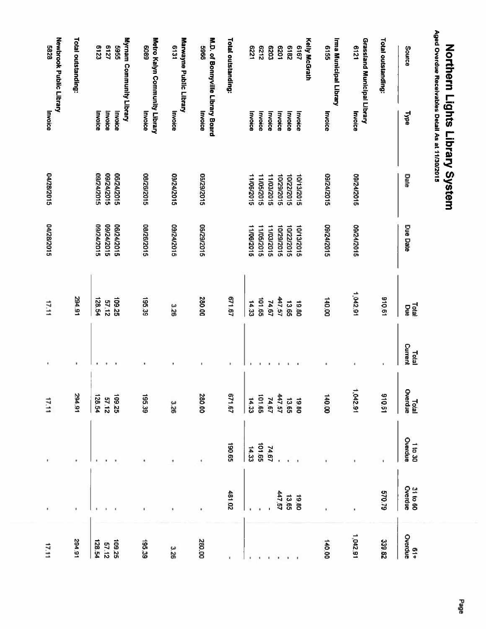| Newbrook Public Library<br>8285 | Total outstanding: | <b>Myrnam Community Library</b><br>6127<br>6123<br>5565 | Metro Kalyn Community Library<br>6809 | Marwayne Public Library<br>131 | M.D. of Bonnyville Library Board<br>9965 | Total outstanding: | <b>E221</b> | 2129       | <b>COZ9</b>       | 1079       | 2819       | <b>Kelly McGrath</b><br><b>2187</b> | Ima Municipal Library<br><b>9155</b> | <b>Grassland Municipal Library</b><br>6121 | <b>Total outstanding:</b> | Aged Overdue Receivables Detail As at 11/30/2015<br>Source |
|---------------------------------|--------------------|---------------------------------------------------------|---------------------------------------|--------------------------------|------------------------------------------|--------------------|-------------|------------|-------------------|------------|------------|-------------------------------------|--------------------------------------|--------------------------------------------|---------------------------|------------------------------------------------------------|
|                                 |                    | Invoice<br>Invoice<br>Invoice                           | Invoice                               | Invoice                        | Invoice                                  |                    | Invoice     | Invoice    | Invoice           | Invoice    | Invoice    | Invoice                             | Invoice                              | Invoice                                    |                           | <b>Type</b>                                                |
|                                 |                    | 9102/72/50<br>9102/12012<br>06/24/2015                  | 08/26/2015                            | S10Z/FZ/60                     | 9102/62/90                               |                    | 11/06/2015  | 11/05/2015 | <b>11/03/2015</b> | 9102/62/01 | 10/22/2015 | 10/13/2015                          | 09/24/2015                           | 9102/12019                                 |                           | Date                                                       |
|                                 |                    | 5102/74/50<br>5102/72/50<br>06/24/2015                  | 08/26/2015                            | 09/24/2015                     | 2102/62/90                               |                    | 11/06/2015  | 11/05/2015 | <b>S102/E0/LL</b> | 10/29/2015 | 10/22/2015 | 10/13/2015                          | 9102/12019                           | 9102/12018                                 |                           | <b>Due Date</b>                                            |
|                                 | 16'162             | 128.54<br>52'601<br>57.12                               | 195.39                                | 3.26                           | 00'082                                   | <b>19'129</b>      | 14.33       | 101,65     | 74.67             | 447.57     | 13.65      | 19.80                               | 00'01                                | 12.542.91                                  | 10.01                     | Telal<br>Bue                                               |
|                                 | ٠                  |                                                         |                                       |                                | ٠                                        | ٠                  |             |            |                   |            | ٠          | ٠                                   | ٠                                    | ×,                                         | $\mathbf i$               | Current<br><b>Lotal</b>                                    |
|                                 | 16'162             | 128.54<br>109,25<br><b>57.12</b>                        | 195.39                                | 3.26                           | 280,00                                   | 571.67             | 14.33       | 59'101     | 74.67             | 447.57     | 13.65      | 19.80                               | 00'0+1                               | 1,042.91                                   | 19'016                    | Total<br>Istal                                             |
|                                 | ٠                  |                                                         |                                       | ٠                              |                                          | 59'061             | 14.33       | 101,65     | 74.67             |            |            |                                     |                                      |                                            | ٠                         | Overdue<br>1 to 30                                         |
|                                 |                    |                                                         | ٠                                     |                                |                                          | 481.02             |             |            |                   | 447.57     | 13.65      | 19.80                               |                                      | ï                                          | 62.073                    | 31 to 60<br>Overdue                                        |
|                                 | 294.91             | 128.54<br>52'601<br>57,12                               | 195.39                                | 326                            | 00'082                                   |                    |             |            |                   |            |            |                                     | 140.00                               | 16'270'1                                   | 339.82                    | Overdue<br>0verdue                                         |